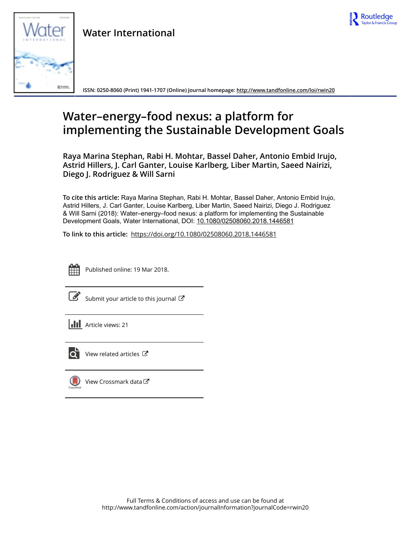

## **Water International**



**ISSN: 0250-8060 (Print) 1941-1707 (Online) Journal homepage:<http://www.tandfonline.com/loi/rwin20>**

# **Water–energy–food nexus: a platform for implementing the Sustainable Development Goals**

**Raya Marina Stephan, Rabi H. Mohtar, Bassel Daher, Antonio Embid Irujo, Astrid Hillers, J. Carl Ganter, Louise Karlberg, Liber Martin, Saeed Nairizi, Diego J. Rodriguez & Will Sarni**

**To cite this article:** Raya Marina Stephan, Rabi H. Mohtar, Bassel Daher, Antonio Embid Irujo, Astrid Hillers, J. Carl Ganter, Louise Karlberg, Liber Martin, Saeed Nairizi, Diego J. Rodriguez & Will Sarni (2018): Water–energy–food nexus: a platform for implementing the Sustainable Development Goals, Water International, DOI: [10.1080/02508060.2018.1446581](http://www.tandfonline.com/action/showCitFormats?doi=10.1080/02508060.2018.1446581)

**To link to this article:** <https://doi.org/10.1080/02508060.2018.1446581>



Published online: 19 Mar 2018.

[Submit your article to this journal](http://www.tandfonline.com/action/authorSubmission?journalCode=rwin20&show=instructions)  $\mathbb{Z}$ 





[View related articles](http://www.tandfonline.com/doi/mlt/10.1080/02508060.2018.1446581)  $\mathbb{Z}$ 



[View Crossmark data](http://crossmark.crossref.org/dialog/?doi=10.1080/02508060.2018.1446581&domain=pdf&date_stamp=2018-03-19)<sup>で</sup>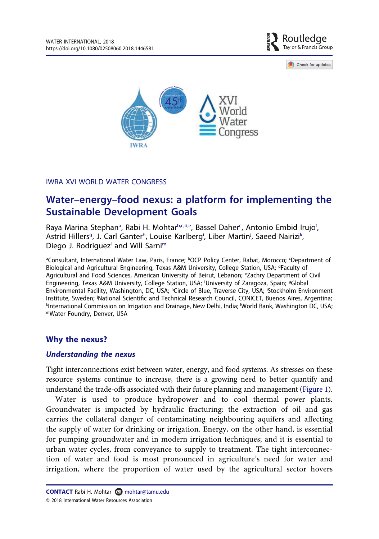

Check for updates



#### IWRA XVI WORLD WATER CONGRESS

## Water–energy–food nexus: a platform for implementing the Sustainable Development Goals

R[a](#page-1-0)ya Marina Stephan<sup>a</sup>, Rabi H. Mohtarb.c.d.e, Bassel Daher<sup>c</sup>, Antonio Embid Irujo<sup>[f](#page-1-3)</sup>, Astrid Hillers<sup>g</sup>, J. Carl Ganter<sup>[h](#page-1-4)</sup>, Louise Karlberg<sup>i</sup>, Liber Martin<sup>[j](#page-1-5)</sup>, Saeed Nairizi<sup>k</sup>, Diego J. Rodriguez<sup>1</sup> and Wi[l](#page-1-6)l Sarni<sup>m</sup>

<span id="page-1-5"></span><span id="page-1-4"></span><span id="page-1-3"></span><span id="page-1-2"></span><span id="page-1-1"></span><span id="page-1-0"></span>aConsultant, International Water Law, Paris, France; <sup>b</sup>OCP Policy Center, Rabat, Morocco; <sup>c</sup>Department of Biological and Agricultural Engineering, Texas A&M University, College Station, USA; <sup>d</sup>Faculty of Agricultural and Food Sciences, American University of Beirut, Lebanon; <sup>e</sup> Zachry Department of Civil Engineering, Texas A&M University, College Station, USA; <sup>f</sup>University of Zaragoza, Spain; <sup>9</sup>Global Environmental Facility, Washington, DC, USA; <sup>h</sup>Circle of Blue, Traverse City, USA; <sup>i</sup>Stockholm Environment Institute, Sweden; *i*National Scientific and Technical Research Council, CONICET, Buenos Aires, Argentina; kInternational Commission on Irrigation and Drainage, New Delhi, India; <sup>I</sup>World Bank, Washington DC, USA mWater Foundry, Denver, USA

### <span id="page-1-7"></span><span id="page-1-6"></span>Why the nexus?

#### Understanding the nexus

Tight interconnections exist between water, energy, and food systems. As stresses on these resource systems continue to increase, there is a growing need to better quantify and understand the trade-offs associated with their future planning and management [\(Figure 1](#page-2-0)).

Water is used to produce hydropower and to cool thermal power plants. Groundwater is impacted by hydraulic fracturing: the extraction of oil and gas carries the collateral danger of contaminating neighbouring aquifers and affecting the supply of water for drinking or irrigation. Energy, on the other hand, is essential for pumping groundwater and in modern irrigation techniques; and it is essential to urban water cycles, from conveyance to supply to treatment. The tight interconnection of water and food is most pronounced in agriculture's need for water and irrigation, where the proportion of water used by the agricultural sector hovers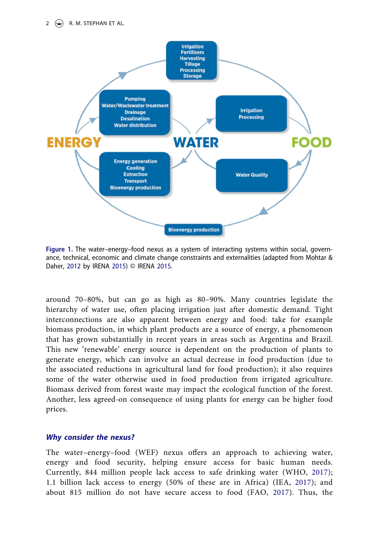#### 2  $\left(\frac{1}{2}\right)$  R. M. STEPHAN ET AL.



<span id="page-2-3"></span><span id="page-2-0"></span>Figure 1. The water–energy–food nexus as a system of interacting systems within social, governance, technical, economic and climate change constraints and externalities (adapted from Mohtar & Daher, [2012](#page-8-3) by IRENA [2015\)](#page-8-4) © IRENA [2015.](#page-8-4)

around 70–80%, but can go as high as 80–90%. Many countries legislate the hierarchy of water use, often placing irrigation just after domestic demand. Tight interconnections are also apparent between energy and food: take for example biomass production, in which plant products are a source of energy, a phenomenon that has grown substantially in recent years in areas such as Argentina and Brazil. This new 'renewable' energy source is dependent on the production of plants to generate energy, which can involve an actual decrease in food production (due to the associated reductions in agricultural land for food production); it also requires some of the water otherwise used in food production from irrigated agriculture. Biomass derived from forest waste may impact the ecological function of the forest. Another, less agreed-on consequence of using plants for energy can be higher food prices.

#### Why consider the nexus?

<span id="page-2-4"></span><span id="page-2-2"></span><span id="page-2-1"></span>The water–energy–food (WEF) nexus offers an approach to achieving water, energy and food security, helping ensure access for basic human needs. Currently, 844 million people lack access to safe drinking water (WHO, [2017\)](#page-8-0); 1.1 billion lack access to energy (50% of these are in Africa) (IEA, [2017](#page-8-1)); and about 815 million do not have secure access to food (FAO, [2017](#page-8-2)). Thus, the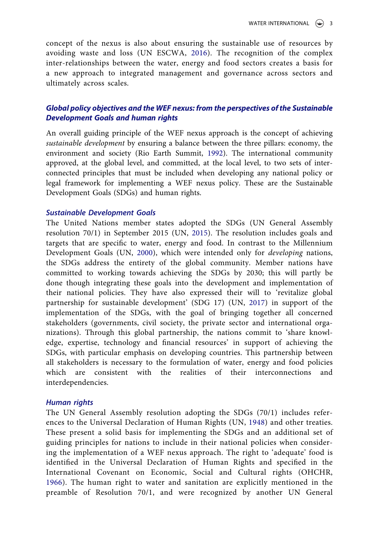<span id="page-3-6"></span>concept of the nexus is also about ensuring the sustainable use of resources by avoiding waste and loss (UN ESCWA, [2016\)](#page-8-5). The recognition of the complex inter-relationships between the water, energy and food sectors creates a basis for a new approach to integrated management and governance across sectors and ultimately across scales.

#### Global policy objectives and the WEF nexus: from the perspectives of the Sustainable Development Goals and human rights

<span id="page-3-2"></span>An overall guiding principle of the WEF nexus approach is the concept of achieving sustainable development by ensuring a balance between the three pillars: economy, the environment and society (Rio Earth Summit, [1992](#page-8-6)). The international community approved, at the global level, and committed, at the local level, to two sets of interconnected principles that must be included when developing any national policy or legal framework for implementing a WEF nexus policy. These are the Sustainable Development Goals (SDGs) and human rights.

<span id="page-3-5"></span><span id="page-3-4"></span><span id="page-3-3"></span>The United Nations member states adopted the SDGs (UN General Assembly resolution 70/1) in September 2015 (UN, [2015](#page-8-7)). The resolution includes goals and targets that are specific to water, energy and food. In contrast to the Millennium Development Goals (UN, [2000\)](#page-8-8), which were intended only for developing nations, the SDGs address the entirety of the global community. Member nations have committed to working towards achieving the SDGs by 2030; this will partly be done though integrating these goals into the development and implementation of their national policies. They have also expressed their will to 'revitalize global partnership for sustainable development' (SDG 17) (UN, [2017\)](#page-8-9) in support of the implementation of the SDGs, with the goal of bringing together all concerned stakeholders (governments, civil society, the private sector and international organizations). Through this global partnership, the nations commit to 'share knowledge, expertise, technology and financial resources' in support of achieving the SDGs, with particular emphasis on developing countries. This partnership between all stakeholders is necessary to the formulation of water, energy and food policies which are consistent with the realities of their interconnections and interdependencies.

<span id="page-3-1"></span><span id="page-3-0"></span>The UN General Assembly resolution adopting the SDGs (70/1) includes references to the Universal Declaration of Human Rights (UN, [1948\)](#page-8-10) and other treaties. These present a solid basis for implementing the SDGs and an additional set of guiding principles for nations to include in their national policies when considering the implementation of a WEF nexus approach. The right to 'adequate' food is identified in the Universal Declaration of Human Rights and specified in the International Covenant on Economic, Social and Cultural rights (OHCHR, [1966](#page-8-11)). The human right to water and sanitation are explicitly mentioned in the preamble of Resolution 70/1, and were recognized by another UN General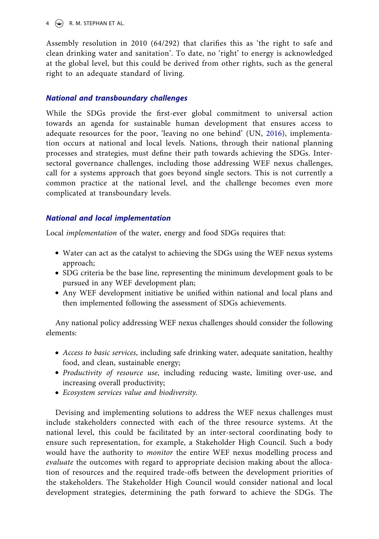$4 \quad (*)$  R. M. STEPHAN ET AL.

Assembly resolution in 2010 (64/292) that clarifies this as 'the right to safe and clean drinking water and sanitation'. To date, no 'right' to energy is acknowledged at the global level, but this could be derived from other rights, such as the general right to an adequate standard of living.

#### National and transboundary challenges

<span id="page-4-0"></span>While the SDGs provide the first-ever global commitment to universal action towards an agenda for sustainable human development that ensures access to adequate resources for the poor, 'leaving no one behind' (UN, [2016](#page-8-12)), implementation occurs at national and local levels. Nations, through their national planning processes and strategies, must define their path towards achieving the SDGs. Intersectoral governance challenges, including those addressing WEF nexus challenges, call for a systems approach that goes beyond single sectors. This is not currently a common practice at the national level, and the challenge becomes even more complicated at transboundary levels.

#### National and local implementation

Local implementation of the water, energy and food SDGs requires that:

- Water can act as the catalyst to achieving the SDGs using the WEF nexus systems approach;
- SDG criteria be the base line, representing the minimum development goals to be pursued in any WEF development plan;
- Any WEF development initiative be unified within national and local plans and then implemented following the assessment of SDGs achievements.

Any national policy addressing WEF nexus challenges should consider the following elements:

- Access to basic services, including safe drinking water, adequate sanitation, healthy food, and clean, sustainable energy;
- Productivity of resource use, including reducing waste, limiting over-use, and increasing overall productivity;
- Ecosystem services value and biodiversity.

Devising and implementing solutions to address the WEF nexus challenges must include stakeholders connected with each of the three resource systems. At the national level, this could be facilitated by an inter-sectoral coordinating body to ensure such representation, for example, a Stakeholder High Council. Such a body would have the authority to monitor the entire WEF nexus modelling process and evaluate the outcomes with regard to appropriate decision making about the allocation of resources and the required trade-offs between the development priorities of the stakeholders. The Stakeholder High Council would consider national and local development strategies, determining the path forward to achieve the SDGs. The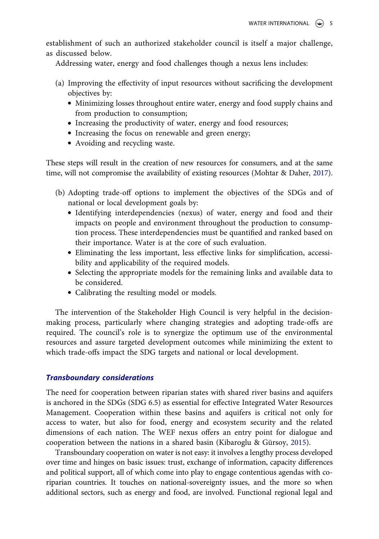establishment of such an authorized stakeholder council is itself a major challenge, as discussed below.

Addressing water, energy and food challenges though a nexus lens includes:

- (a) Improving the effectivity of input resources without sacrificing the development objectives by:
	- Minimizing losses throughout entire water, energy and food supply chains and from production to consumption;
	- Increasing the productivity of water, energy and food resources;
	- Increasing the focus on renewable and green energy;
	- Avoiding and recycling waste.

<span id="page-5-1"></span>These steps will result in the creation of new resources for consumers, and at the same time, will not compromise the availability of existing resources (Mohtar & Daher, [2017](#page-8-13)).

- (b) Adopting trade-off options to implement the objectives of the SDGs and of national or local development goals by:
	- Identifying interdependencies (nexus) of water, energy and food and their impacts on people and environment throughout the production to consumption process. These interdependencies must be quantified and ranked based on their importance. Water is at the core of such evaluation.
	- Eliminating the less important, less effective links for simplification, accessibility and applicability of the required models.
	- Selecting the appropriate models for the remaining links and available data to be considered.
	- Calibrating the resulting model or models.

The intervention of the Stakeholder High Council is very helpful in the decisionmaking process, particularly where changing strategies and adopting trade-offs are required. The council's role is to synergize the optimum use of the environmental resources and assure targeted development outcomes while minimizing the extent to which trade-offs impact the SDG targets and national or local development.

#### Transboundary considerations

The need for cooperation between riparian states with shared river basins and aquifers is anchored in the SDGs (SDG 6.5) as essential for effective Integrated Water Resources Management. Cooperation within these basins and aquifers is critical not only for access to water, but also for food, energy and ecosystem security and the related dimensions of each nation. The WEF nexus offers an entry point for dialogue and cooperation between the nations in a shared basin (Kibaroglu & Gürsoy, [2015\)](#page-8-14).

<span id="page-5-0"></span>Transboundary cooperation on water is not easy: it involves a lengthy process developed over time and hinges on basic issues: trust, exchange of information, capacity differences and political support, all of which come into play to engage contentious agendas with coriparian countries. It touches on national-sovereignty issues, and the more so when additional sectors, such as energy and food, are involved. Functional regional legal and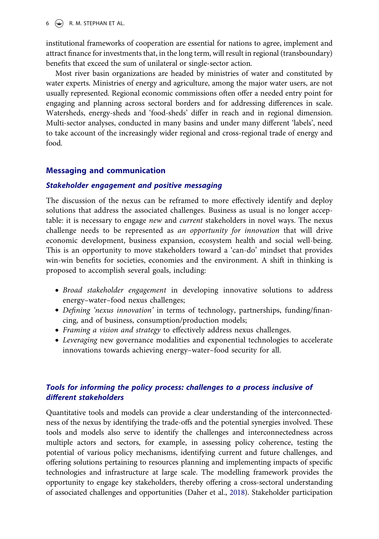$6 \leftrightarrow R$ . M. STEPHAN ET AL.

institutional frameworks of cooperation are essential for nations to agree, implement and attract finance for investments that, in the long term, will result in regional (transboundary) benefits that exceed the sum of unilateral or single-sector action.

Most river basin organizations are headed by ministries of water and constituted by water experts. Ministries of energy and agriculture, among the major water users, are not usually represented. Regional economic commissions often offer a needed entry point for engaging and planning across sectoral borders and for addressing differences in scale. Watersheds, energy-sheds and 'food-sheds' differ in reach and in regional dimension. Multi-sector analyses, conducted in many basins and under many different 'labels', need to take account of the increasingly wider regional and cross-regional trade of energy and food.

#### Messaging and communication

#### Stakeholder engagement and positive messaging

The discussion of the nexus can be reframed to more effectively identify and deploy solutions that address the associated challenges. Business as usual is no longer acceptable: it is necessary to engage new and current stakeholders in novel ways. The nexus challenge needs to be represented as an opportunity for innovation that will drive economic development, business expansion, ecosystem health and social well-being. This is an opportunity to move stakeholders toward a 'can-do' mindset that provides win-win benefits for societies, economies and the environment. A shift in thinking is proposed to accomplish several goals, including:

- Broad stakeholder engagement in developing innovative solutions to address energy–water–food nexus challenges;
- Defining 'nexus innovation' in terms of technology, partnerships, funding/financing, and of business, consumption/production models;
- Framing a vision and strategy to effectively address nexus challenges.
- Leveraging new governance modalities and exponential technologies to accelerate innovations towards achieving energy–water–food security for all.

### Tools for informing the policy process: challenges to a process inclusive of different stakeholders

<span id="page-6-0"></span>Quantitative tools and models can provide a clear understanding of the interconnectedness of the nexus by identifying the trade-offs and the potential synergies involved. These tools and models also serve to identify the challenges and interconnectedness across multiple actors and sectors, for example, in assessing policy coherence, testing the potential of various policy mechanisms, identifying current and future challenges, and offering solutions pertaining to resources planning and implementing impacts of specific technologies and infrastructure at large scale. The modelling framework provides the opportunity to engage key stakeholders, thereby offering a cross-sectoral understanding of associated challenges and opportunities (Daher et al., [2018\)](#page-8-15). Stakeholder participation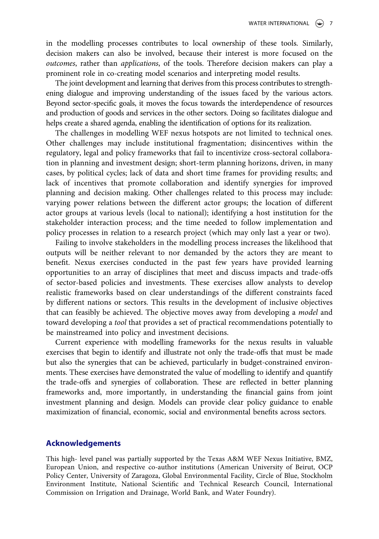in the modelling processes contributes to local ownership of these tools. Similarly, decision makers can also be involved, because their interest is more focused on the outcomes, rather than applications, of the tools. Therefore decision makers can play a prominent role in co-creating model scenarios and interpreting model results.

The joint development and learning that derives from this process contributes to strengthening dialogue and improving understanding of the issues faced by the various actors. Beyond sector-specific goals, it moves the focus towards the interdependence of resources and production of goods and services in the other sectors. Doing so facilitates dialogue and helps create a shared agenda, enabling the identification of options for its realization.

The challenges in modelling WEF nexus hotspots are not limited to technical ones. Other challenges may include institutional fragmentation; disincentives within the regulatory, legal and policy frameworks that fail to incentivize cross-sectoral collaboration in planning and investment design; short-term planning horizons, driven, in many cases, by political cycles; lack of data and short time frames for providing results; and lack of incentives that promote collaboration and identify synergies for improved planning and decision making. Other challenges related to this process may include: varying power relations between the different actor groups; the location of different actor groups at various levels (local to national); identifying a host institution for the stakeholder interaction process; and the time needed to follow implementation and policy processes in relation to a research project (which may only last a year or two).

Failing to involve stakeholders in the modelling process increases the likelihood that outputs will be neither relevant to nor demanded by the actors they are meant to benefit. Nexus exercises conducted in the past few years have provided learning opportunities to an array of disciplines that meet and discuss impacts and trade-offs of sector-based policies and investments. These exercises allow analysts to develop realistic frameworks based on clear understandings of the different constraints faced by different nations or sectors. This results in the development of inclusive objectives that can feasibly be achieved. The objective moves away from developing a model and toward developing a tool that provides a set of practical recommendations potentially to be mainstreamed into policy and investment decisions.

Current experience with modelling frameworks for the nexus results in valuable exercises that begin to identify and illustrate not only the trade-offs that must be made but also the synergies that can be achieved, particularly in budget-constrained environments. These exercises have demonstrated the value of modelling to identify and quantify the trade-offs and synergies of collaboration. These are reflected in better planning frameworks and, more importantly, in understanding the financial gains from joint investment planning and design. Models can provide clear policy guidance to enable maximization of financial, economic, social and environmental benefits across sectors.

#### Acknowledgements

This high- level panel was partially supported by the Texas A&M WEF Nexus Initiative, BMZ, European Union, and respective co-author institutions (American University of Beirut, OCP Policy Center, University of Zaragoza, Global Environmental Facility, Circle of Blue, Stockholm Environment Institute, National Scientific and Technical Research Council, International Commission on Irrigation and Drainage, World Bank, and Water Foundry).